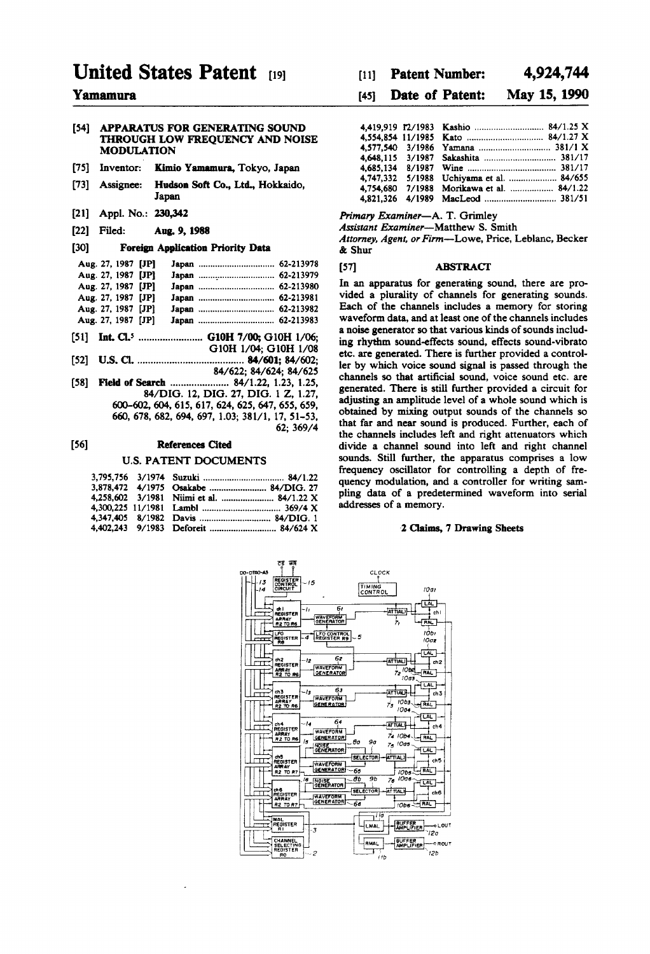# United States Patent (19)

# Yamamura

### [54] APPARATUS FOR GENERATING SOUND THROUGH LOW FREQUENCY AND NOISE MODULATION

- [75] Inventor: Kimio Yamamura, Tokyo, Japan
- 73 Assignee: Hudson Soft Co., Ltd., Hokkaido, Japan
- [21] Appl. No.: 230,342
- 22 Filed: Aug. 9, 1988

# [30] Foreign Application Priority Data

| Aug. 27, 1987 [JP] |  |  |
|--------------------|--|--|
| Aug. 27, 1987 [JP] |  |  |
| Aug. 27, 1987 [JP] |  |  |
| Aug. 27, 1987 [JP] |  |  |
| Aug. 27, 1987 [JP] |  |  |
| Aug. 27, 1987 [JP] |  |  |

- (51) Int. C. ........................ G10H 7/00 G10H 1/06; G10H 1/04; G10H 1/08
- 52 U.S. C. ........................................ 84/601; 84/602;
- 84/622; 84/624; 84/625 [58] Field of Search .............................. 84/1.22, 1.23, 1.25, 84/DIG. 12, DIG. 27, DIG. 1 Z, 1.27, 600-602, 604, 615, 617,624, 625, 647, 655, 659, 660, 678, 682, 694,697, 1.03; 381/1, 17, 51-53, 62; 369/4

### [56] References Cited

### U.S. PATENT DOCUMENTS

|  | 3.878.472 4/1975 Osakabe  84/DIG. 27 |
|--|--------------------------------------|
|  |                                      |
|  |                                      |
|  |                                      |
|  |                                      |

# 11 Patent Number: 4,924,744

# 45 Date of Patent: May 15, 1990

|  | 4,747,332 5/1988 Uchiyama et al.  84/655  |  |
|--|-------------------------------------------|--|
|  | 4.754.680 7/1988 Morikawa et al.  84/1.22 |  |
|  |                                           |  |

Primary Examiner-A. T. Grimley

Assistant Examiner-Matthew S. Smith

Attorney, Agent, or Firm-Lowe, Price, Leblanc, Becker & Shur

### (57) ABSTRACT

In an apparatus for generating sound, there are provided a plurality of channels for generating sounds. Each of the channels includes a memory for storing waveform data, and at least one of the channels includes a noise generator so that various kinds of sounds includ ing rhythm sound-effects sound, effects sound-vibrato etc. are generated. There is further provided a control ler by which voice sound signal is passed through the channels so that artificial sound, voice sound etc. are generated. There is still further provided a circuit for adjusting an amplitude level of a whole sound which is obtained by mixing output sounds of the channels so that far and near sound is produced. Further, each of the channels includes left and right attenuators which divide a channel sound into left and right channel sounds. Still further, the apparatus comprises a low frequency oscillator for controlling a depth of fre quency modulation, and a controller for writing sampling data of a predetermined waveform into serial addresses of a memory.

### 2 Claims, 7 Drawing Sheets

| ਨਤੋਂ ਘਸ                                                                                                                                                                                          |  |
|--------------------------------------------------------------------------------------------------------------------------------------------------------------------------------------------------|--|
| DO-D780-A3<br>CLOCK                                                                                                                                                                              |  |
| REGISTER<br>CONTROL<br>13<br>-15<br><b>TIMING</b><br><b>CIRCUIT</b><br>10a i<br>14<br>CONTROL                                                                                                    |  |
| LAL<br>61<br>ch I<br>-11<br>ATTIAL)<br>chl<br>AEGISTER<br><b>WAVEFORM</b><br><b>ARRAY</b><br>GENERATOR<br><b>RAL</b><br>7,<br><b>R2 TO R6</b>                                                    |  |
| 10bi<br>L FO<br><b>LFO CONTROL</b><br>REGISTER R9<br>5<br><b>REQISTER</b><br>4<br><i><b>IOaz</b></i><br>яè                                                                                       |  |
| LAL.<br>62<br>ch <sub>2</sub><br>-12<br><b>ATTIALI</b><br>ch <sub>2</sub><br>REGISTER<br><b>WAVEFORM</b><br>ARK AY<br>10be<br><b>GENERATOR</b><br>72<br><b>RAL</b><br><b>R2 TO R6</b>            |  |
| 10as<br>LAL<br>63<br>ch 3<br>-/3<br>ATTIAU<br>ch 3<br><b>REGISTER</b><br><b>WAVEFORM</b>                                                                                                         |  |
| ARRAY<br>1063<br><b>GENERATOR</b><br>$\vec{r}_3$<br>RAL<br>R2 TO R6<br>10ae<br><b>LAL</b><br>64<br>-14<br>ch 4                                                                                   |  |
| <b>ATTIAL</b><br>ch 4<br><b>REGISTER</b><br>WAVEFORM<br><b>ARRAY</b><br>74 IOb4<br><b>RAL</b><br><b>GENERATOR</b><br><b>R2 TO R6</b><br>ls<br>9σ<br>θa<br>7 <sub>5</sub> 10as<br><b>NOISE</b>    |  |
| LAL<br>GENERATOR<br>ch5<br><b>SELECTOR</b><br><b>ATT(AL)</b><br>ch 5<br>REGISTER<br><b><i>WAVEFORM</i></b><br><b>ARRAY</b><br><b>GENERATOR</b><br><b>RAL</b><br>- 65<br><b>R2 TO R7</b><br>IObs. |  |
| 7 <sub>8</sub> 1006<br>86<br>96<br>16<br><b>HOISE</b><br>LAL<br><b>GENERATOR</b><br>chê<br><b>SELECTOR</b><br><b>ATTALI</b><br>che<br>REGISTER<br><b>IWAVEFORM</b><br><b>ARRAY</b>               |  |
| <b>GENERATOR</b><br><b>RAL</b><br>65<br><b>R2 TO R7</b><br>IObs<br>i la<br>MAL                                                                                                                   |  |
| <b>DUFFER</b><br>REGISTER<br><b>OLOUT</b><br>LMAL<br>AMPLIFIER<br>RI<br>-3<br>12a<br>CHANNEL<br><b>BUFFER</b><br><b>RMAL</b><br>~∘ ROUT<br><b>SELECTING</b><br>AMPLIFIER                         |  |
| REGISTER<br>12b<br>- 2<br>RO<br>í Ih                                                                                                                                                             |  |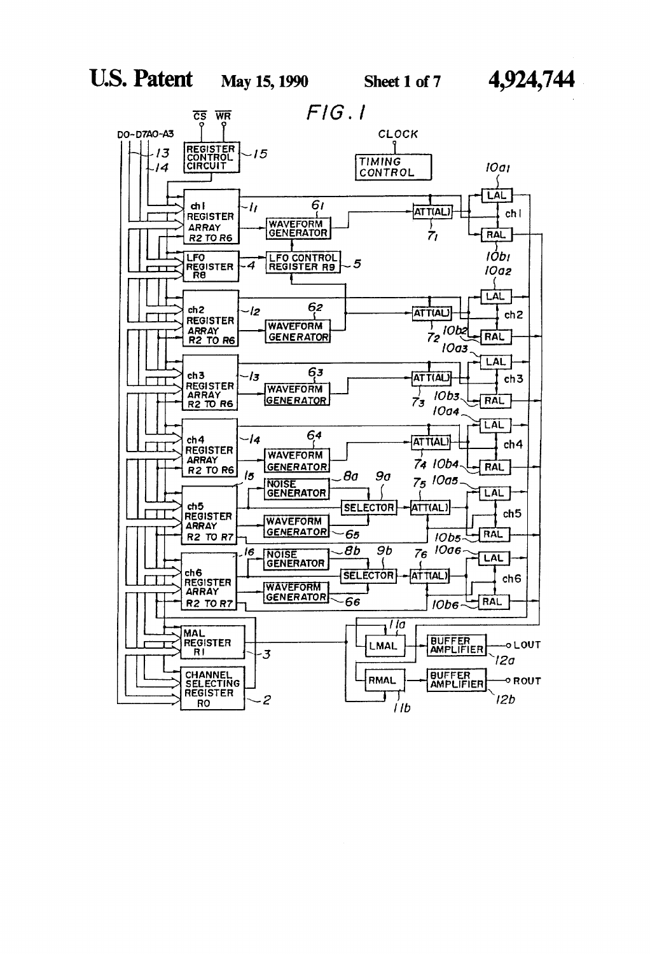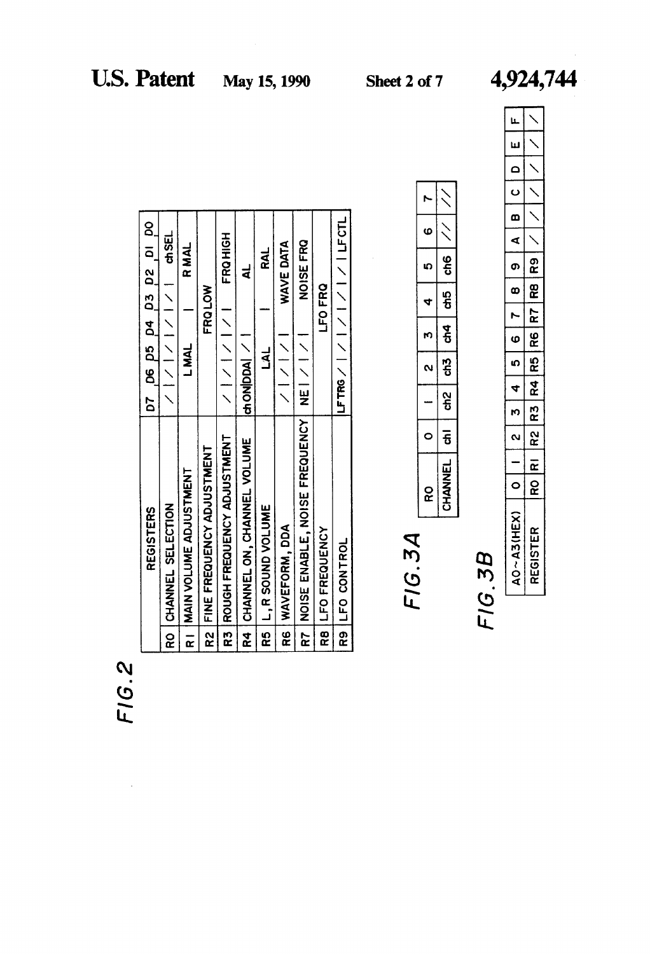|                    | <b>REGISTERS</b>                           | 07 106 05 04 03 02 01 00    |        |             |                            |                |                         |             |  |
|--------------------|--------------------------------------------|-----------------------------|--------|-------------|----------------------------|----------------|-------------------------|-------------|--|
|                    | RO   CHANNEL SELECTION                     |                             |        |             | /  /  /  /   /   chSEL     |                |                         |             |  |
|                    | RI   MAIN VOLUME ADJUSTMENT                |                             |        | <b>TYNT</b> |                            |                |                         | <b>RMAL</b> |  |
|                    | R2   FINE FREQUENCY ADJUSTMENT             |                             |        |             |                            | FRQLOW         |                         |             |  |
|                    | R3   ROUGH FREQUENCY ADJUSTMENT            |                             |        |             | / / / / / / / / /          |                |                         |             |  |
| ድ<br>4             | CHANNEL ON, CHANEL VOLUME                  | $ $ ch ON $ $ DDA $ $ / $ $ |        |             |                            |                | $\overline{\mathbf{a}}$ |             |  |
|                    | R5   L, R SOUND VOLUME                     |                             |        | لے<br>گ     |                            |                |                         | ام<br>RAL   |  |
| $\frac{1}{\alpha}$ | WAVEFORM, DDA                              |                             | 212121 |             |                            |                | WAVE DATA               |             |  |
| <b>R</b>           | NOISE ENABLE, NOISE FREQUENCY   NE   /   / |                             |        |             |                            |                | NOISE FRQ               |             |  |
|                    | RB   LFO FREQUENCY                         |                             |        |             |                            | <b>LFO FRQ</b> |                         |             |  |
|                    | R9 ILFO CONTROL                            |                             |        |             | LFTRG/   /   /   /   LFCTL |                |                         |             |  |

FIG.3A

| n |                  |
|---|------------------|
|   | et<br>6          |
|   | e<br>S           |
|   | $\frac{4}{5}$    |
|   | r2<br>G          |
|   | na<br>15         |
|   | $\bar{\epsilon}$ |
| ဥ | <b>ANIMIE</b>    |

FIG.3B

FIG.2

Sheet 2 of 7

L.

ш

 $\mathbf{\Omega}$  $\ddot{\mathbf{C}}$ 

 $\pmb{\mathsf{m}}$ ⋖

 $\overline{\frac{9}{R^9}}$ 

 $\frac{1}{18}$ 

 $\frac{6}{R}$ 

R7  $\ddot{r}$ 

 $\overline{R5}$  $\omega$ 

 $R4$  $\blacktriangleleft$ 

 $R<sub>3</sub>$  $\mathfrak{m}$ 

 $|R2|$  $\sim$ 

 $\overline{\mathbf{a}}$  $\overline{R}$  $\circ$ 

 $\frac{AO - A3(HEX)}{REGISTER}$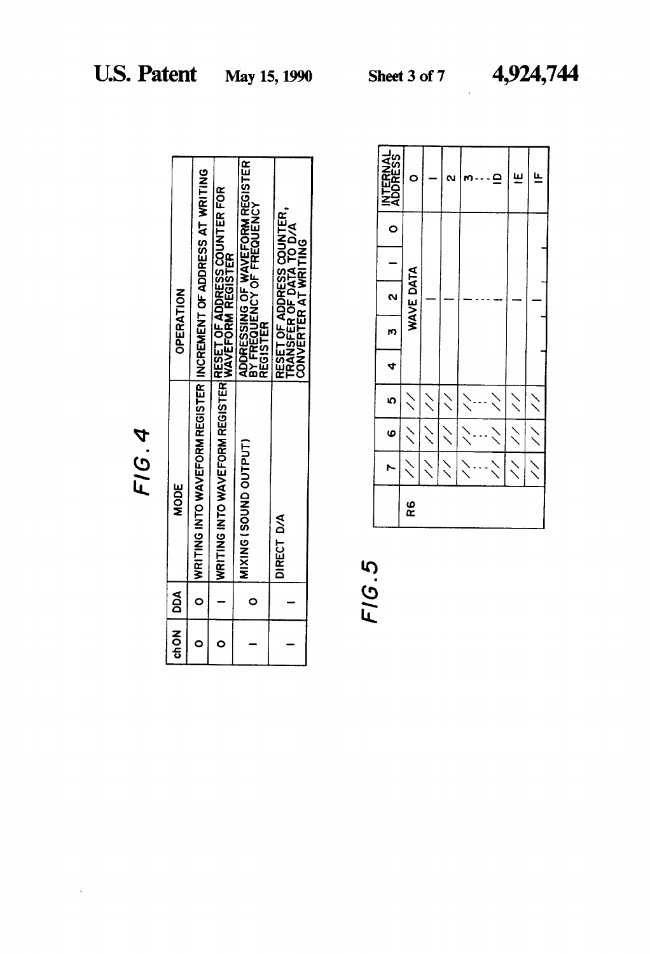|        |             | INCREMENT OF ADDRESS AT WRITING |                                                           |                                                                          |                                                                                      |       | INTERNAL              | Ō         |    | N          | m | $\mathbf{Q}$ | щ | 느                        |
|--------|-------------|---------------------------------|-----------------------------------------------------------|--------------------------------------------------------------------------|--------------------------------------------------------------------------------------|-------|-----------------------|-----------|----|------------|---|--------------|---|--------------------------|
|        |             |                                 | <b>RESET OF ADDRESS COUNTER FOR<br/>WAVEFORM REGISTER</b> |                                                                          |                                                                                      |       | $\circ$               |           |    |            |   |              |   |                          |
|        |             |                                 |                                                           | ADDRESSING OF WAVEFORM REGISTER<br>BY FREQUENCY OF FREQUENCY<br>REGISTER | <b>RESET OF ADDRESS COUNTER<br/>TRANSFER OF DATA TO D/A<br/>CONVERTER AT WRITING</b> |       |                       |           |    |            |   |              |   |                          |
|        |             |                                 |                                                           |                                                                          |                                                                                      |       | $\boldsymbol{\alpha}$ | WAVE DATA |    |            |   |              |   |                          |
|        | OPERATION   |                                 |                                                           |                                                                          |                                                                                      |       | m                     |           |    |            |   |              |   |                          |
|        |             |                                 |                                                           |                                                                          |                                                                                      |       | 4                     |           |    |            |   |              |   |                          |
|        | MODE        | WRITING INTO WAVEFORM REGISTER  | WRITING INTO WAVEFORM REGISTER                            | MIXING (SOUND OUTPUT)                                                    |                                                                                      |       | Ю                     |           |    | $\searrow$ |   |              |   | $\searrow$               |
|        |             |                                 |                                                           |                                                                          |                                                                                      |       | Õ                     |           |    |            |   |              |   | $\overline{\phantom{0}}$ |
| FIG. 4 |             |                                 |                                                           |                                                                          |                                                                                      |       | ٣                     |           | ╲  |            |   |              |   | $\searrow$               |
|        |             |                                 |                                                           |                                                                          |                                                                                      |       |                       |           | R6 |            |   |              |   |                          |
|        |             |                                 |                                                           |                                                                          | Δ<br>Δ<br><b>DIRECT</b>                                                              |       |                       |           |    |            |   |              |   |                          |
|        | DOA         | 0                               |                                                           | O                                                                        |                                                                                      | FIG.5 |                       |           |    |            |   |              |   |                          |
|        | <b>ChON</b> | ۰                               | ٥                                                         |                                                                          |                                                                                      |       |                       |           |    |            |   |              |   |                          |

U.S. Patent May 15, 1990 Sheet 3 of 7 4, 924, 744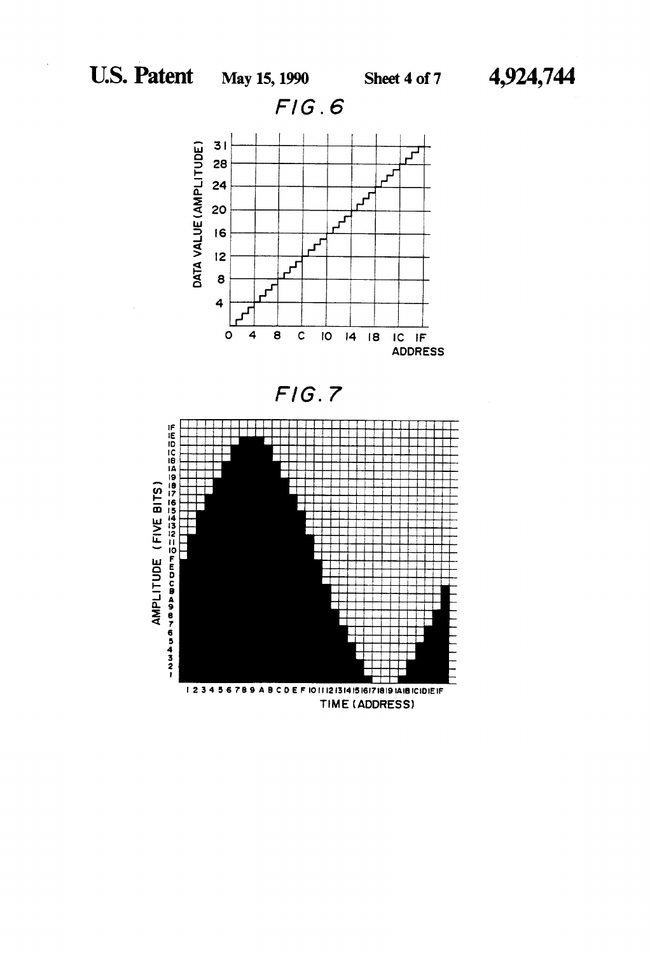



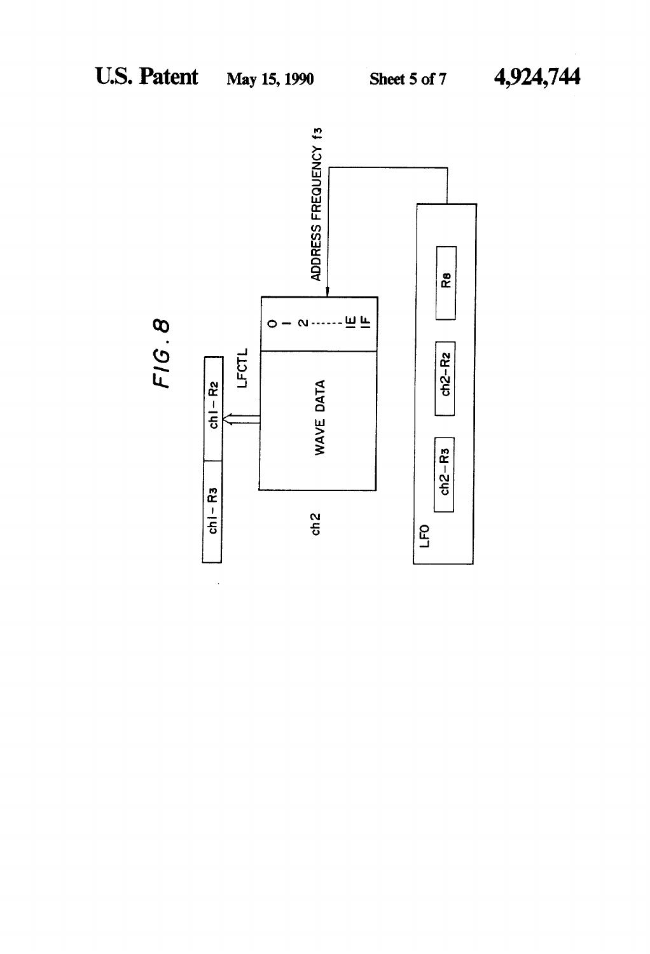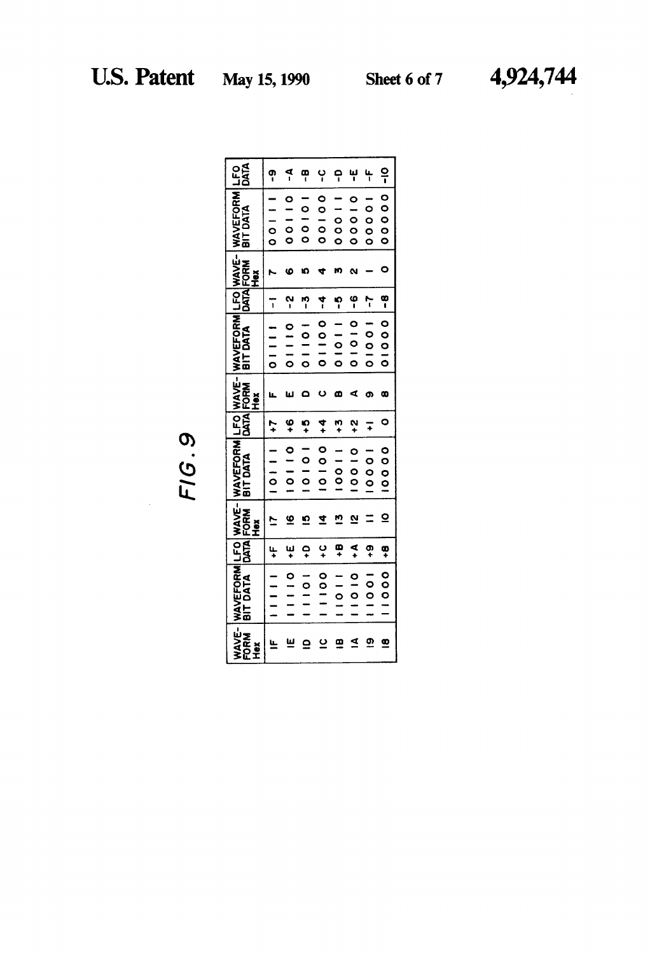# FIG.9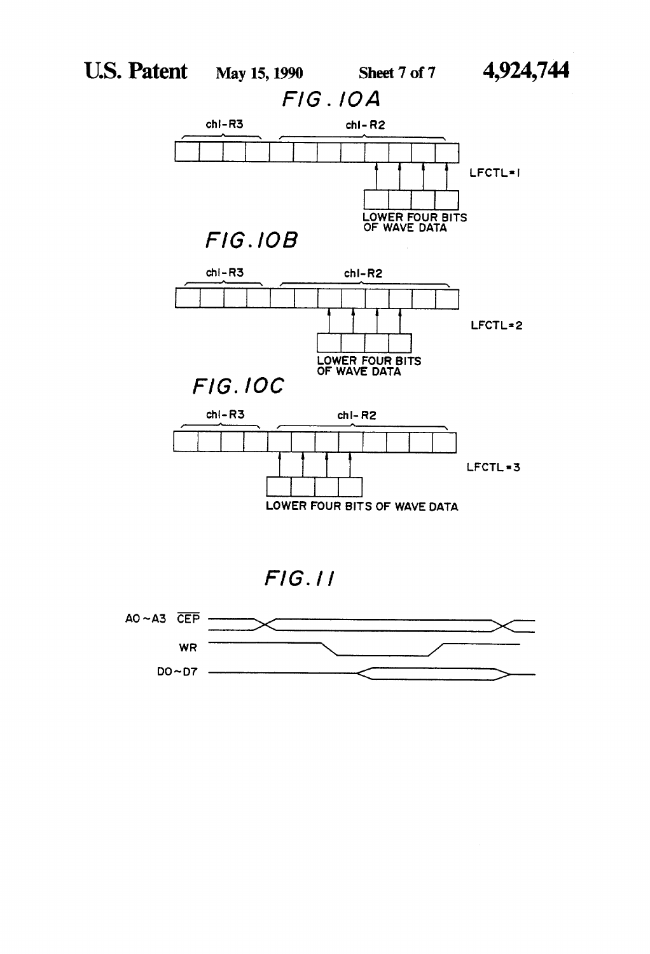$FIG. IOA$  $chI - R2$  $chI-R3$ LFCTL=1 LOWER FOUR BITS OF WAVE DATA FIG. IOB ch-R3 chi-R2 LFCTLs 2 LOWER FOUR BITS OF WAVE DATA FIG. IOC chi-R3 chi-R2 LFCTL=3 LOWER FOUR BITS OF WAVE DATA

 $FIG.11$ 

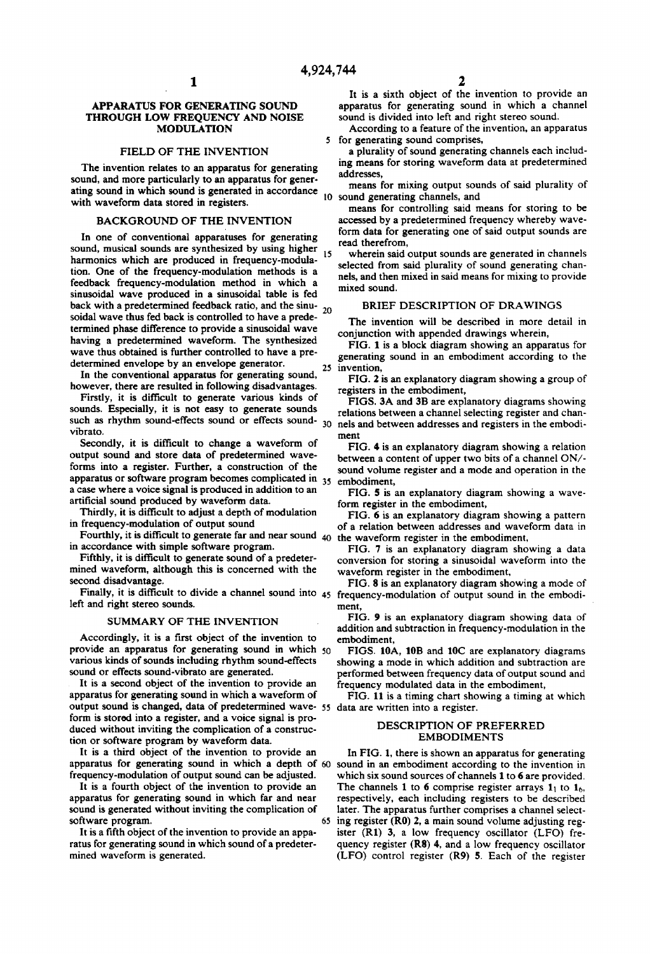### **APPARATUS FOR GENERATING SOUND** THROUGH LOW FREQUENCY AND NOISE **MODULATION**

# FIELD OF THE INVENTION

The invention relates to an apparatus for generating sound, and more particularly to an apparatus for generating sound in which sound is generated in accordance with waveform data stored in registers.

### **BACKGROUND OF THE INVENTION**

In one of conventional apparatuses for generating sound, musical sounds are synthesized by using higher 15 harmonics which are produced in frequency-modulation. One of the frequency-modulation methods is a feedback frequency-modulation method in which a sinusoidal wave produced in a sinusoidal table is fed back with a predetermined feedback ratio, and the sinusoidal wave thus fed back is controlled to have a predetermined phase difference to provide a sinusoidal wave having a predetermined waveform. The synthesized wave thus obtained is further controlled to have a predetermined envelope by an envelope generator.

In the conventional apparatus for generating sound, however, there are resulted in following disadvantages.

Firstly, it is difficult to generate various kinds of sounds. Especially, it is not easy to generate sounds vibrato.

Secondly, it is difficult to change a waveform of output sound and store data of predetermined waveforms into a register. Further, a construction of the apparatus or software program becomes complicated in  $35$ a case where a voice signal is produced in addition to an artificial sound produced by waveform data.

Thirdly, it is difficult to adjust a depth of modulation in frequency-modulation of output sound

Fourthly, it is difficult to generate far and near sound  $_{40}$ in accordance with simple software program.

Fifthly, it is difficult to generate sound of a predetermined waveform, although this is concerned with the second disadvantage.

left and right stereo sounds.

### SUMMARY OF THE INVENTION

Accordingly, it is a first object of the invention to provide an apparatus for generating sound in which  $50$ various kinds of sounds including rhythm sound-effects sound or effects sound-vibrato are generated.

It is a second object of the invention to provide an apparatus for generating sound in which a waveform of output sound is changed, data of predetermined wave- 55 data are written into a register. form is stored into a register, and a voice signal is produced without inviting the complication of a construction or software program by waveform data.

It is a third object of the invention to provide an frequency-modulation of output sound can be adjusted.

It is a fourth object of the invention to provide an apparatus for generating sound in which far and near sound is generated without inviting the complication of software program.

It is a fifth object of the invention to provide an apparatus for generating sound in which sound of a predetermined waveform is generated.

It is a sixth object of the invention to provide an apparatus for generating sound in which a channel sound is divided into left and right stereo sound.

According to a feature of the invention, an apparatus for generating sound comprises,

a plurality of sound generating channels each including means for storing waveform data at predetermined addresses.

means for mixing output sounds of said plurality of 10 sound generating channels, and

means for controlling said means for storing to be accessed by a predetermined frequency whereby waveform data for generating one of said output sounds are read therefrom.

wherein said output sounds are generated in channels selected from said plurality of sound generating channels, and then mixed in said means for mixing to provide mixed sound.

# BRIEF DESCRIPTION OF DRAWINGS

The invention will be described in more detail in conjunction with appended drawings wherein,

FIG. 1 is a block diagram showing an apparatus for generating sound in an embodiment according to the 25 invention,

FIG. 2 is an explanatory diagram showing a group of registers in the embodiment,

FIGS. 3A and 3B are explanatory diagrams showing relations between a channel selecting register and chansuch as rhythm sound-effects sound or effects sound- 30 nels and between addresses and registers in the embodiment

> FIG. 4 is an explanatory diagram showing a relation between a content of upper two bits of a channel ON/sound volume register and a mode and operation in the embodiment.

FIG. 5 is an explanatory diagram showing a waveform register in the embodiment,

FIG. 6 is an explanatory diagram showing a pattern of a relation between addresses and waveform data in the waveform register in the embodiment,

FIG. 7 is an explanatory diagram showing a data conversion for storing a sinusoidal waveform into the waveform register in the embodiment,

FIG. 8 is an explanatory diagram showing a mode of Finally, it is difficult to divide a channel sound into 45 frequency-modulation of output sound in the embodiment.

> FIG. 9 is an explanatory diagram showing data of addition and subtraction in frequency-modulation in the embodiment,

> FIGS. 10A, 10B and 10C are explanatory diagrams showing a mode in which addition and subtraction are performed between frequency data of output sound and frequency modulated data in the embodiment,

FIG. 11 is a timing chart showing a timing at which

### DESCRIPTION OF PREFERRED **EMBODIMENTS**

In FIG. 1, there is shown an apparatus for generating apparatus for generating sound in which a depth of 60 sound in an embodiment according to the invention in which six sound sources of channels 1 to 6 are provided. The channels 1 to 6 comprise register arrays  $1<sub>1</sub>$  to  $1<sub>6</sub>$ , respectively, each including registers to be described later. The apparatus further comprises a channel selecting register (R0) 2, a main sound volume adjusting register (R1) 3, a low frequency oscillator (LFO) frequency register (R8) 4, and a low frequency oscillator (LFO) control register (R9) 5. Each of the register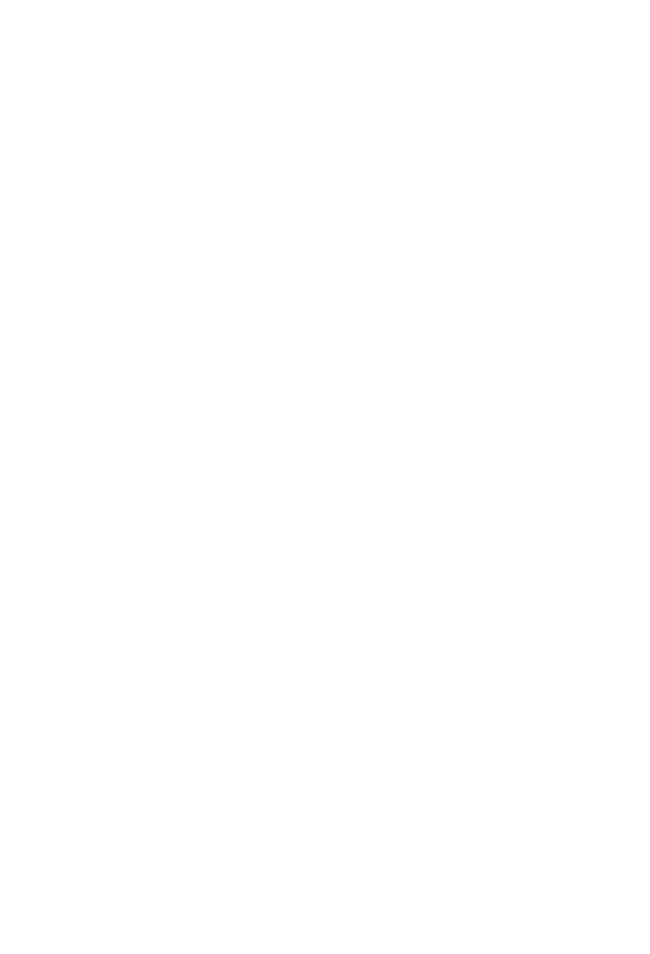3

4,924,744

arrays  $1<sub>i</sub>$  to  $1<sub>6</sub>$  includes a fine frequency adjusting register  $(R2)$ , a rough frequency adjusting register  $(R3)$ , a channel ON/sound volume register (R4), a left and right sound volume register (R5), and a waveform register (R6). Even more, the register arrays  $1_5$  and  $1_6$  of 5 the channels 5 and 6 further includes a noise enable/noise frequency register (R7). In the channels  $1<sub>1</sub>$  to  $1<sub>4</sub>$ , there are provided waveform generators  $6<sub>1</sub>$  to  $6<sub>4</sub>$  for supplying output sounds to attenuators  $7<sub>1</sub>$  to  $7<sub>4</sub>$  in which the output sounds are converted from digital signal to 10 lower four bits are set. Here, data of twelve bits includanalog signal, and adjusted to have predetermined sound volumes. On the other hand, one of outputs of a waveform generator  $6_5$  and a noise generator  $8a$ , and one of outputs of a waveform generator  $6<sub>6</sub>$  and a noise generator 8b are selected to be supplied to attenuators  $7<sub>5</sub>$  and  $7<sub>6</sub>$  in the channels 5 and 6 by selectors 9a and 9b. Outputs of the attenuators  $7<sub>1</sub>$  to  $7<sub>6</sub>$  are divided to be supplied to left and right attenuators  $10a_1$  and  $10b_1$  to 10 $a_6$  and 10 $b_6$  in which the outputs are attenuated with 20 predetermined attenuation factors to be mixed separately by left and right sounds. The left and right mixed signals are adjusted in main attenuators  $11a$  and  $11b$  to have predetermined sound volumes, and then passed through buffer amplifiers  $12a$  and  $12b$  to be supplied through output terminals LOUT and ROUT to a following stage. The register arrays  $1<sub>1</sub>$  to  $1<sub>6</sub>$ , the channel selecting register (R0) 2, the main sound volume adjusting register (R1) 3, the low frequency oscillator (LFO) frequency register (R8) 4, and the low frequency con- $30<sub>o</sub>$ trol register (R9) 5 are connected through data bus D0 to D7 (eight bits) 13 and address bus A0 to A3 (four bits) 14 to CPU (not shown) thereby receiving address signals and data therefrom. Each register described above is connected to a register control circuit 15 to which a chip selecting signal CS and a writing instruction signal WR0 are applied from the CPU so that data transferred through the data bus 13 from the CPU are written at an address designated by an address signal on the address bus 14 into one of the registers.

In FIG. 2, there are shown the aforementioned registers R0 to R9 each being of eight bits which will be explained as follows.

### (1) channel selecting register (R0)

Channel selecting data "ch SEL" are stored in lower three bits. FIG. 3A shows a relation between channel selecting data 0 to 5 (hexadecinormal) and on of the channels 1 to 6 which is selected. For instance, if the channel selecting data are "011" (equal to "3"), the 50 ferred are converted from digital signal to analog signal channel 4 "ch 4" is selected.

On the other hand, the registers R2 to R7 of the register arrays  $1_1$  to  $1_6$  and the other registers R1, R8 and R9 are addressed by the address signal A0 to A3 on the address bus 14. A relation thereof is shown in FIG. 55 3B. The address signal is one of the values 0 to 9 (hexadecinormal) dependent on a content of A0 to A3. For instance, if the address signal is "2" (0010), the fine frequency adjusting register R2 is selected.

### $(2)$  main sound volume adjusting register  $(R1)$

The left and right attenuators 11a and 11b are controlled to adjust volumes of the left and right mixed sounds by the register (R1). Upper four bits "LMAL' are data for defining attenuation amount of the left 65 attenuator 11a, while lower four bits "RMAL" are that for the right attenuator 11b. When the four bit data is "F", sound volume is the maximum, and is decreased by

approximately 3 dB in a case where a set value of the register (R1) is decreased by "1".

### (3) fine frequency adjusting register (R2)

Fine frequency adjusting data "FRQ LOW" of eight bits are set.

### $(4)$  rough frequency adjusting register  $(R3)$

Rough frequency adjusting data "FRQ HIGH" of ing the data "FRQ LOW" of eight bits as lower data and the data "FRQ HIGH" of four bits as upper data are obtained. If it is assumed that the twelve bit data are "F", a frequency  $f_1$  of a waveform output is defined in 15 each channel as follows:

$$
f_1 = \frac{7.16}{2 \times 32 \times F}
$$
 MHz

In the above equation, "7.16 MHz" is a master frequency which is supplied from the CPU.

### (5) channel ON/sound volume register (R4)

Sound output of each channel and the writing of the 25 waveform register (R6) which will be described later are controlled in accordance with "ch ON" of the MSB, a direct D/A mode which will be described later is controlled in accordance with "DDA" of the second bit, and attenuation amounts of the attenuators  $7<sub>1</sub>$  to  $7<sub>6</sub>$ are controlled in accordance with "AL" of lower five bits

FIG. 4 shows the control which is conducted in accordance with a content of the MSB and second bit of the Register (R4). As apparent from the descriptions 35 therein, sound output is supplied from a corresponding channel in a case where the MSB is "1", while sound output is not supplied therefrom, and data on the data bus 13 are possible to be written into a corresponding waveform register  $(R6)$  in a case where the MSB "ch ON" is "0". Further, an address counter for the waveform register  $(R6)$  is reset, and a direct  $D/A$  mode is possible to be performed in a case where the second bit<br>"DDA" is "1". The direct D/A mode is a mode in which data transferred through the data bus 13 from the 45 CPU are passed through a corresponding one of the register arrays  $1<sub>1</sub>$  to  $1<sub>6</sub>$  and supplied directly to a corresponding one of the attenuators  $7<sub>1</sub>$  to  $7<sub>6</sub>$  without being passed through any of the waveform generators  $6<sub>1</sub>$  to  $6<sub>6</sub>$ . In the corresponding attenuator, the data thus transto be supplied through the output terminals LOUT and ROUT to a following stage.

The lower five bits "AL" controls attenuation amounts of the attenuators  $7<sub>1</sub>$  to  $7<sub>6</sub>$  such that the maximum output is obtained when "1F" (hexadecinormal) is set therein, and an amplitude of output is decreased by 1.5 dB each time when a set value is decreased by "1".

### (6) left and right sound volume register (R5)

In each channel, the register (R5) controls a corresponding pair of the attenuators  $10a_1$  and  $10b_1$  to  $10a_6$ and  $10b<sub>6</sub>$  for adjusting left and right dividing sound volumes. Sound volume of left output is decided by upper four bits "LAL", while that of right output by<br>lower four bits "RAL". When the "LAL" or "RAL" is "F" (hexadecinormal), the sound volume is the maximum, and is decreased by approximately 3 dB each time when a set value is decreased by "1".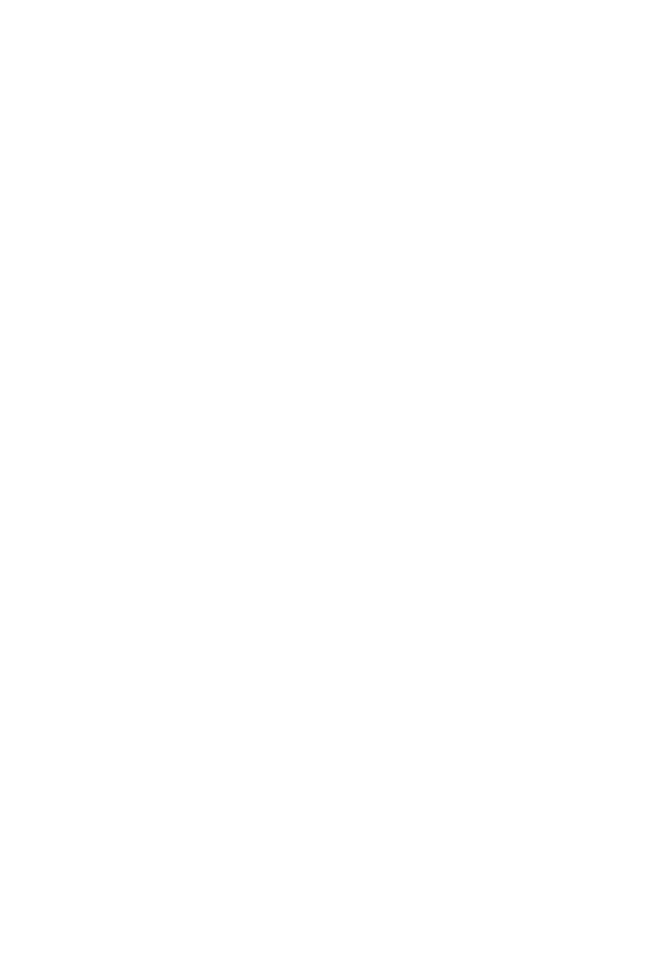# (7) waveform register (R6)

The waveform register (R6) is shown in FIG. 5 in which a word is composed of lower five bits for setting waveform data. As shown therein, the register  $(R6)$  $\overline{\mathbf{5}}$ includes thirty-two addresses "0", "1", "2", ... "1E", "IF" (hexadecinormal), and thirty-two waveform data corresponding to the addresses and defining one period of a waveform. Therefore, the thirty-two addresses are accessed in an order of address numbers by a predeter- 10 mined frequency and number so that a sound signal of a predetermined frequency is produced in a corresponding one of the waveform generators  $6<sub>1</sub>$  to  $6<sub>6</sub>$ .

In FIG. 6, there is shown a relation between an address (horizontal axis) and an amplitude (vertical axis) in 15 which the amplitude is increased from "0" to "31" by one each time when the address is increased from "0" to "1F" by one. In a case where a waveform register having data as shown in FIG. 6 is accessed in an order of address numbers by a predetermined frequency, a saw- 20 frequency, clock signal which is supplied to the noise tooth wave sound is generated.

FIG. 7 shows a data conversion in which a sinusoidal waveform of one period is divided equally by thirtytwo addresses so that thirty-two amplitudes corresponding to the thirty-two addresses are expressed by 25 five bit words which are stored into the waveform register (R6). Accordingly, when the waveform register (R6) is addressed in an order of address numbers, a waveform pattern as shown in FIG. 7 is generated in a corresponding one of the waveform generators  $6<sub>1</sub>$  to  $6<sub>6</sub>$ . 30 register (R7). The noise sound is a waveform of pseudo In a case where sound other than a sinusoidal waveform is generated, a waveform of the sound is observed in a waveform observing apparatus such as a synchroscope thereby being converted in regard to data thereof in the same manner as described in a case of a sinusoidal wave- 35 form.

The converted data are written into the waveform register (R6) in a following procedure. As explained in the channel ON/sound volume register (R4) in FIG. 4, a mode in which an address of the waveform register 40 (R6) is increased by one each time when data are written thereinto in a case where both the upper two bits of the register (R4) are "0" ("ch ON" is "0", and "DDA is "0"). Thus, thirty-two words (thirty-two waveform data) are written into the thirty-two addresses thereof. 45 At this stage, one of the channels 1 to 6 is selected by the channel selecting register (R0) 2, and address data "A0 to A3" of the address bus 14 is controlled to be "6" so that data are transferred through the data bus 13 from CPU to the waveform register (R6). When data are 50 finished to be written thereinto, the upper two bits of the register (R4) are controlled to be "10" ("ch ON" is "1", and "DDA" is "0") to provide an output mode. When the starting address of the waveform register (R6) is wanted to be "0" at the moment that data are 55 begun to be written thereinto, the upper two bits of the register (R4) are set to be "00" after the bits are once set to be "01". Thus, an address counter for the waveform register (R6) is reset to be "0" in accordance with the control of software program. 60

In the aforementioned direct D/A mode, on the other hand, a preparation for generating sound is completed when the upper two bits of the register (R4) are set to be "00", "00" is written into the waveform register (R6), to be "11". In the circumstance, when data are repeated to be written into the waveform register (R6), sound is generated because data are transferred to a correspond-

ing one of the attenuators  $7<sub>1</sub>$  to  $7<sub>6</sub>$  (D/A converters) at each time of the data writing. In this case, although data are transferred to the waveform register  $(R6)$ , the data may be considered to be passed therethrough. That is to say, a content of the register (R6) remains unchanged to be maintained therein. By adopting this mode, a voice can be supplied through the apparatus from the CPU to a following stage in place of an artificial sound supplied from the waveform register (R6).

 $(8)$  noise enable/noise frequency register  $(R7)$ 

A change-over between noise sounds and musical sounds is controlled by the MSB bit "NE". When the "NE" is "1", the noise sounds are enabled to cease output of the musical sounds. Noise frequency is controlled by lower five bits. As described before, the noise generators  $8a$  and  $8b$  are provided in the channels 5 and 6. For this reason, the register  $(R7)$  is provided only in each of the channels 5 and 6. In the control of noise generators  $8a$  and  $8b$  is controlled such that sound is shifted from low frequency to high frequency when a content of the lower five bits is varied from "0" to "1F". The noise frequency  $f_2$  is defined as follows:

$$
f_2 = \frac{7.16}{2 \times 32 \times 2 \times NF} \text{ MHz}
$$

Where "NF" is a content of the lower five bits of the random, and output waveform is a rectangle wave which is applied to the generating of rhythm soundeffects sound.

# (9) low frequency oscillator (LFO) frequency register  $(R8)$  4

A low frequency oscillator (LFO) is used for the control of frequency-modulation, and is composed of the register  $(R8)$  4 and a frequency counter for musical sounds in the channel 2. Here, it is defined that the frequency-modulation is a frequency-modulation in which sound of the channel 1 is frequency-modulated by using a waveform data of the channel 2. A frequency  $f_3$  of the low frequency oscillator (LFO) is controlled by the register  $(R8)$  4, and the fine frequency adjusting register  $(R2)$  and the rough frequency adjusting register (R3) in the channel 2. Effects sound-vibrato is generated in accordance with the frequency modulation.

# (10) low frequency oscillator (LFO) control register  $(R9)$  5

The register (R9) 5 includes the MSB "LF TRG" and lower two bits "LF CTL". A low frequency oscillator (LFO) is reset to return to the initial state when "1" is written into the "LF TRG". At this stage, a content at the address "0" of the waveform register (R6) in the channel 2 is an output which is used as frequency-modulation data, and the frequency-modulation is then stopped. While, the frequency-modulation is started when the "LF TRG" is "0". That is to say, sound of the channel 1 is frequency-modulated by waveform data of the waveform register (R6) in the channel 2 to generate effects soundvibrato.

The lower two bits "LF CTL" controls a modulation and the upper two bits of the register (R4) are then set 65 degree of the frequency-modulation. FIG, 8 shows a relation between the low frequency oscillator (LFO) and the frequency-modulation. A frequency  $f_3$  of the low frequency oscillator (LFO) which is an address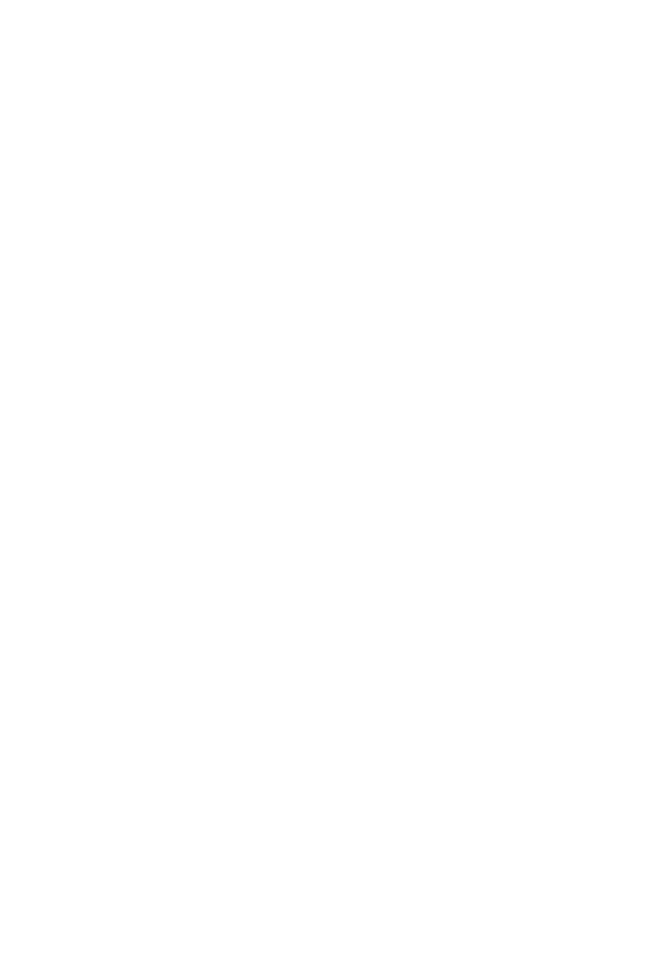$\mathsf{s}$ 

frequency for addressing the waveform register (R6) in the channel 2 is defined as follows:

$$
f_3 = \frac{7.16}{2 \times 32 \times F} \times F''
$$
 MHz

Where F' is data value (decimal) of twelve bits including eight bit data of the register (R2) in the channel 2 as lower data and four bit data of the register (R3) as upper data, and F" is data value (decimal) of eight bits 10 of the low frequency oscillator (LFO) register (R8) 4. The frequency-modulation of the channel 1 is performed by data of the waveform register R6 which is addressed in the channel 2 by the address frequency f3. That is to say, data of the waveform register  $(R6)$  in the 15 channel 2 are added to or subtracted from the fine frequency adjusting register (R2) in the channel 1.

FIG. 9 shows frequency-modulation data (LFO data) corresponding to waveform data of waveform "0" to "IF" of the waveform register (R6) in the channel 2 20 whereby addition is performed in a case where the MSB of the waveform data is "1" (the waveform from "10" to "1F"), while subtraction is performed in a case where the MSB of the waveform data is "0" (the waveform "0" to "F"). Sound of the channel 1 is shifted in a direc-25 tion of low frequency by the addition, and in a direction of high frequency by the subtraction. For instance, when the waveform data of an address which is addressed in the waveform register  $(R6)$  of the channel 2<br>are "11100", lower four bits "1100"  $(=C)$  of the waveform data "11100" are added to four corresponding bits 30 of the fine frequency adjusting register (R2) of the channel 1.

FIGS. 10A to 10C show four bits of the fine frequency adjusting register (R2) in the channel 1 to which the aforementioned lower four bits of the waveform 35 data are added. That is to say, four bits of positions decided by a content of the lower two bits "LF CTL" of the low frequency oscillator (LFO) control register (R9) 5 are selected in the fine frequency adjusting regis- $40<sup>1</sup>$ ter (R2) as follows:

### (a) "LF CTL" = "0"

The low frequency oscillator (LFO) is turned off, and output of normal musical sound is obtained.

Lower four bits of the waveform register (R6) of the channel 2 are added to or subtracted from lower four channel 1 to provide data by which a frequency of 50 LOUT and ROUT to a following stage. bits of the fine frequency adjusting register (R2) of the sound of the channel 1 is decided a shown in FIG. 10A.

# (c) "LF CTL"="2"

The lower four bits of the register (R6) of the channel 2 are added to or subtracted from middle four bits of the 55 register (R2) of the channel 1 as shown in FIG. 10B.

### (d) "LF CTL" = "3"

The lower four bit of the register (R6) of the channel 2 are added to or subtracted from upper four bits of the 60 (LFO) control register (R9) is changed from "1" to "0", register (R2) of the channel 1 as shown in FIG. 10C.

FIG. 11 shows a timing at which data are set in the registers (R0 to R9). Data are set in one of the registers RO, R1, R8 and R9 wherein a chip is enabled in accordance with "0" of CEP0 signal, one of the registers is 65 selected in accordance with the address A0 to A3 of the address bus 14, and data D0 to D7 which are set on the data bus 13 are written thereinto in accordance with "0"

of the writing signal WR. On the other hand, data are set in one of the registers R2 to R7 wherein one of the channels 1 to 6 is set in the channel selecting register R0, and the same procedure as described above is thereafter performed to write data into a register in a channel thus selected.

Next, operations will be explained in the apparatus for generating sound in the embodiment according to the invention.

### **[OPERATION 1]**

It is assumed that predetermined data are already written in the registers (R0 to R9). In the circumstance, the whole system in the apparatus is enabled when the chip selecting signal  $\overline{CS}0$  (= "0") is applied to the register control circuit 15. When at least one of the channels and those of the registers are selected in accordance with a content of the channel selecting register (R0) and an address A0 to A3 on the address bus 14, the addresses "0" to "1F" of the waveform register (R6) are addressed in accordance with a frequency dependent on contents of the fine frequency adjusting register (R2) and the rough frequency adjusting register (R3) in the channel where the upper two bits of the channel ON/sound volume register (R4) are "10" so that output sound is generated in at least one of the waveform generators  $6<sub>1</sub>$  to  $6<sub>6</sub>$  in which waveform data of the waveform register (R6) are developed. The attenuation amounts of the attenuators  $7<sub>1</sub>$  to  $7<sub>6</sub>$  are set to be predetermined values in accordance with the lower four bits of the channel ON/sound volume register (R4), and the attenuation amounts of the attenuators  $10a_1$  and  $10b_1$  to 10a and 10b<sub>6</sub> are set by the left and right (LR) sound volume register (R5). Output sound of each channel is converted from digital signal to analog signal in a corresponding one of the attenuators  $7<sub>1</sub>$  to  $7<sub>6</sub>$ , and are adjusted to be a predetermined sound volume therein. The output sound is divided in each channel to be supplied to a corresponding pair of the attenuators  $10a_1$  and  $10b_1$ to  $10a_6$  and  $10b_6$ , and the output sounds thus divided are mixed to provide left and right output sounds which are then controlled in the left and right main attenuators 11a and 11b set by the main sound volume adjusting 45 register (R1) thereby providing the left and right output sounds with predetermined main sound volumes. The left and right stereo sounds of the main volumes thus adjusted are passed through the buffer amplifiers 12a and 12b to be supplied through the output terminals

In the operation described above, when the MSB of the noise enable noise/frequency register (R7) is "1" in the channels 5 and 6, noise is generated in the noise generator 8a or 8b in accordance with a noise frequency of the lower five bits of the register  $(R7)$ , and then selected to be supplied to the attenuator  $7<sub>5</sub>$  or  $7<sub>6</sub>$  by the selectors  $9a$  or  $9b$  thereby producing rhythm soundeffects sound.

Further, the MSB of the low frequency oscillator frequency-modulation of output sound is started in the channel 1 again. At this moment, an address frequency  $f_3$  by which the waveform register (R6) is addressed is decided by a content of the low frequency oscillator (R9) and contents of the fine and rough frequency adjusting registers (R2 and R3). In accordance with the access of the waveform register (R6), lower four bits of the waveform register (R6) are added to or subtracted -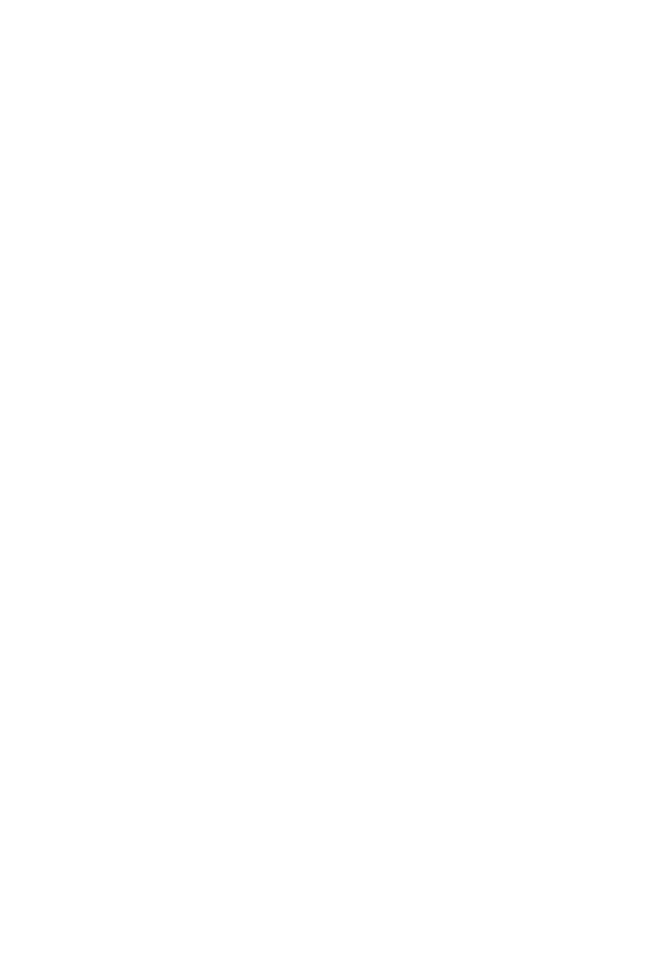from selected four bits of the fine frequency adjusting register (R2) in the channel 1 dependent on the "LF CTL" (lower two bits) of the low frequency oscillator (LFO) control register (R9) to result in frequencymodulation of output sound thereby producing effects 5 sound-vibrato.

On the other hand, when upper two bits of the channel ON/sound volume register (R4) are "11", there is realized a direct D/A mode in which voice sound is supplied from the CPU through the data bus 13 to at 10 least a corresponding one of the register arrays 11 to  $1<sub>6</sub>$ each time when the writing signal WR0 is applied to the register control circuit 15 in accordance with the resetting of the address counter for the waveform register pass on a corresponding one of the waveform generators  $6<sub>1</sub>$  to  $6<sub>6</sub>$  to at least a corresponding one of the attenuators  $7<sub>1</sub>$  to  $7<sub>6</sub>$  in which voice sound is converted from digital signal to analog signal, and adjusted to be a predetermined sound volume thereby being supplied 20 through the output terminals LOUT and ROUT in the same manner as described above. This results in the generation of voice sound which is utilized for effects sounds in place of artificial sound.

eration of six musical sounds and of four musical sounds and two noise sounds and so on can be performed, although the number of waveform generators and noise generators is not limited to that of the embodiment.

### [OPERATION 2]

An address A0 to A3 of the address bus 14 are controlled to be "0000", and the channel selecting register (R0) is addressed from the CPU as shown in FIG. 3B. In "ch SEL" thereof from the data bus 13 so that the channel 1b is selected as shown in FIG. 3A. Next, the address A0 to A3 are controlled to be "0100", and the channel ON/sound volume register (R4) is addressed in the channel 1. Under the situation, predetermined data 40 are written into upper two bits "ch ON" and "DDA" of the register (R4) to conduct following operations.

### (a) "ch ON" = "0", and "DDA" = 0

The waveform register (R6) is addressed in accor- 45 dance with an address "0111" on the address bus 14. The addresses of the waveform register (R6) are serially addressed, when a counted value of the internal address counter is increased by one as shown in FIG. 5, so that waveform data transferred through the data bus 13 ar 50 written thereinto. Such waveform data can be stored in the waveform register (R6) by performing a data conversion of a predetermined waveform as explained before. In this case, the writing of waveform data is started from a non-fixed address dependent on a then-55 from selected four bits of the fine frequency adjusting counted value of the internal address counter.

### (b) "ch ON" = "0", and "DDA" = 1

After upper two bits of the register R4 are set as "0" and "1", the two bits are set to be "0" and "0" so that 60 the address counter for the register R4 is reset to be "0". Thereafter, data are written thereinto in an order of the addresses "0" to "1F". Thus, waveform data can be written into the waveform register (R6) in the channel 1. After the upper two bits of the channel ON/sound 65 volume register (R4) are set to be "1" and "0", respectively, so that output sound of the channel 1 is converted from analog signal to digital signal in the attenu-

ator  $7<sub>1</sub>$  and adjusted to have a predetermined sound volume, and then divided to be supplied to the attenuators  $10a_1$  and  $10b_1$  from which left and right output sounds of the channel 1 are supplied to the main attenuators 11a and 11b.

On the other hand, "0"  $($ ="ch ON" $)$  and "1"  $($  = "DDA") are written through the data bus 13 into the upper two bits of the channel ON/sound volume register (R4), and "00" are written into the waveform register  $(R6)$  so that the direct  $D/A$  mode is demanded. Thereafter, "1" (="ch ON") and "1" (="DDA") are written into the upper two bits of the register (R4) so that voice sound signals which are transferred through the data bus 13 are repeated to be written into the wave-(R6) to be transferred through a line which does not 15 form register (R6), and supplied to the attenuator  $(D/A)$ converter)  $7<sub>1</sub>$  through a path which does not pass the waveform generator (R6) to provide voice sound output at each time of the writing of the waveform register (R6). In this case, although data are seemingly transferred to the waveform register  $(R6)$ , a whole content of the waveform register  $(R6)$  is held to remain unchanged.

Although the operation of the channel 1 is explained above, the same operation is possible to be performed in As apparent from the explanations, simultaneous gen- 25 the other channels 2 to 6 or in a plurality thereof simultaneously.

### [OPERATION 3]

When lower two bits "LF CTL" of the low fre-30 quency oscillator control register  $(R9)$  are not zero, that is, the bits are one of "1", "2" and "3", a low frequency oscillator is turned on to produce a low frequency signal  $f_3$ . The frequency  $f_3$  is calculated in the aforementioned equation, and depends on contents of the fine and the circumstance, "0" is written into lower three bits 35 rough frequency register (R2 and R3) and on a content of the low frequency oscillator (LFO) frequency register (R8). When "1" is written into the MSB "LF TRG" of the low frequency oscillator (LFO) control register (R9) 5, the low frequency oscillator (LFO) is reset to return to the initial state. At this moment, frequencymodulation is stopped in a state that waveform data at the address "0" of the waveform register (R6) in the channel 2 is read out as frequency-modulation data. In the circumstance, "0" is written into the MSB "LF TRG" of the control register (R9), frequency-modulation is started again with the low frequency signal  $f_3$  by which the waveform register  $(R6)$  of the channel 2 is serially addressed from the address "0" to the address "IF". If the low frequency  $f_3$  is high, an addressing speed is of a high speed, while the addressing speed is low if the low frequency  $f_3$  is low. Waveform data of the waveform register  $(R6)$  in the channel 2 are accessed in an order of the addresses "0" to "1F" so that lower four bits of the waveform data are added to or subtracted register (R2). At this moment, when the upper bit of the five bit waveform data is "1", addition is performed, and when the upper bit is "0", subtraction is performed. Here, when lower two bits "LF OTL" of the low frequency oscillator (LFO) control register (R9) is "01". addition or subtraction is performed as shown in FIG. 10A, and when the "LF CTL" is "10" and "11" respectively, addition or subtraction is correspondingly performed as shown in FIGS. 10B and 10C. In this case, modulation degree is larger in FIG. 10B than in FIG. 10A, and larger in FIG. 10C than in FIG. 10B. In this manner, when waveform data of the waveform register (R6) in the channel 2 are added to a content of the fine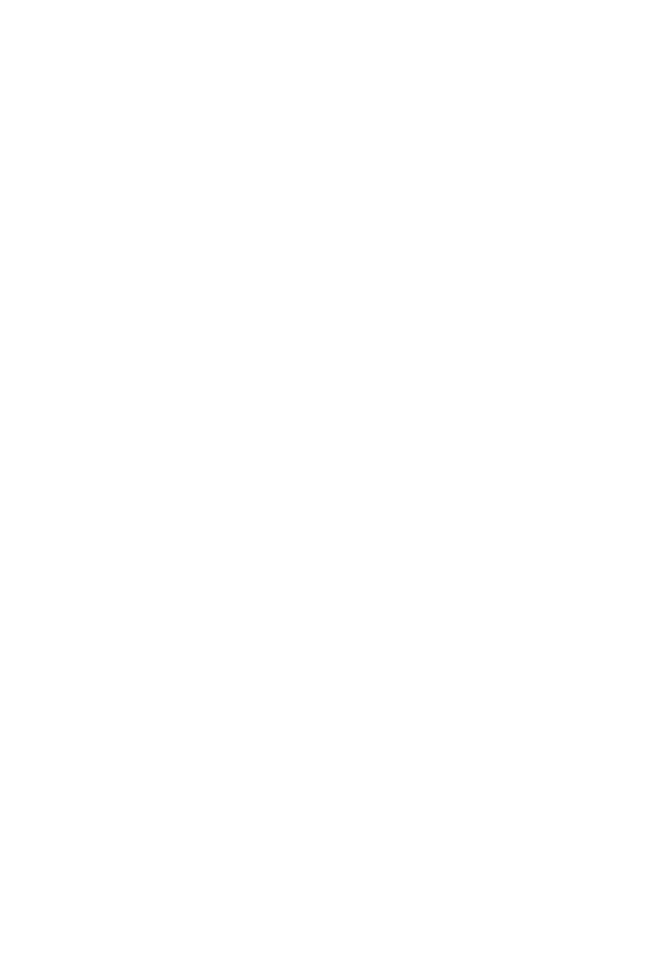frequency adjusting register (R2) in the channel 1, output sound of the channel 1 is frequency-modulated by the result of the addition or subtraction and a content of the rough frequency adjusting register (R3) thereby producing output sound of effects sound-vibrato in the 5 channel 1.

### [OPERATION 4]

A mixing mode is set when "10" are set into upper two bits "ch ON" and "DDA" of the channel ON/- 10 sound volume register (R4) in each of the channel 1 to 6 where the waveform register (R6) is addressed with a frequency decided by the frequency adjusting registers (R2 and R3) so that output sound is generated in each of the waveform generators  $1<sub>1</sub>$  to  $1<sub>6</sub>$  of the channels 1 to 6. 15 The output sound is converted from digital signal to analog signal and adjusted to be a predetermined sound volume decided by lower five bits "AL" of the channel ON/sound volume register (R4) in each of the attenuators  $7<sub>1</sub>$  to  $7<sub>6</sub>$ . The output sound of the predetermined 20 sound volume is than divided to be supplied to each left and right pair of the attenuators  $10a_1$  and  $10b_1$  to  $10a_6$ and  $10b<sub>6</sub>$  in which the output sound is adjusted to be predetermined levels in accordance with contents of upper four bits "LAL" and lower four bits "RAL" of 25 the left and right sound volume register (R5). Therefore, left output sounds of the attenuators  $10a_1$  to  $10a_6$ and right output sounds of the attenuators  $10b_1$  to  $10b_6$ are separately mixed with each other to be supplied to the left and right main attenuators  $11a$  and  $11b$  in which 30 the whole left and right sounds are adjusted in regard to sound volume to be supplied through the buffer amplifiers 12a and 12b to the output terminals LOUT and ROUT. As a result, the left and right sound outputs of predetermined sound volumes are obtained at the out- 35 put terminals LOUT and ROUT. The attenuation amounts of the left and right main attenuators 11a and 11b are decided by the upper four bits "LMAL" and the lower four bits "RMAL" of the main sound volume register (R1). Accordingly, when it is assumed that the 40 maximum sound volume is "F" (hexadecinormal), far and near sounds are generated in accordance with contents of the "LMAL" and "RMAL".

# [OPERATION 5]

Upper two bits "ch ON" and "DDA" of the channel ON/sound volume register (R4) are set as "10" in a corresponding channel so that a mixing mode is set to address the waveform register (R6) with a frequency decided by the fine and rough frequency adjusting reg- 50 isters (R2 and R3). As shown in FIG. 5, waveform data are stored at the addresses "0" to "1F" of the waveform register (R6) so that waveform data are developed in an order of addresses at each time when a counted value of the address counter for counting address frequency is 55 increased by one thereby producing waveform in a corresponding one of the waveform generators 61 to 66. In the corresponding channel, output sound is generated by repeating the addressing of the waveform register (R6) in a period of a waveform thus produced. 60 accordance with an address signal "0" (A0 to A3) on Waveform of each channel is converted from digital signal to analog signal and adjusted to be a predetermined sound volume in each of the attenuators  $7<sub>1</sub>$  to  $7<sub>6</sub>$ , and divided to be supplied to each pair of the left and right attenuators  $10a_1$  and  $10b_1$  to  $10a_6$  and  $10b_6$  in which 65 address data "5" (A0 to A3) so that sound volume adleft and right sounds are separately adjusted to be predetermined sound volumes. The left sounds of the channels are mixed to be supplied to the left main attenuator

11a, and the right sounds of the channels are mixed to be supplied to the right main attenuator 11b. The left and right sounds thus mixed are adjusted therein to be predetermined sound volumes and supplied through the buffer amplifiers  $12a$  and  $12b$  to the output terminals LOUT and ROUT.

The sound volume adjustment of the respective attenuators is performed in accordance with contents of the main sound volume adjusting register (R1), the channel ON/sound volume register (R4), and the left and right sound volume register (R5). As described before, output sound volume is changed by 3 dB when contents of the register (R1 and R5) are changed by one, and the former is changed by 1.5 dB when the latter is changed by one.

Here, it is assumed that contents of the registers are as follows:

- (a) main sound volume adjusting register  $(R1)$ 
	- 'LMAL" is "C" (hexadecinormal)
	- "RMAL" is "8" (hexadecinormal)
- (b) channel ON/sound volume register (R4)
- upper four bits of "AL" are "E" (hexadecinormal) sound volume is controlled in accordance with lower one bit of "AL" by 1.5 dB.
- (c) left and right sound volume register (R5) "LAL" is "F" (hexadecinormal) "RAL" is "8" (hexadecinormal)

In accordance with the above assumptions, an attenuation value of the left output value will be calculated as follows because the maximum sound value is "F".

 $(F - C) + (F - E) + (F - F) = 4$ 

 $4 \times 3$  dB = 12 dB

Accordingly, a level down of 12 dB is resulted. On the other hand, an attenuation value of the right output value will be calculated as follows:

$$
(F-8)+(F-E)+(F-8)=15
$$

 $15 \times 3$  dB = 45 dB

Accordingly, a level down of 45 dB is resulted. Here, 45 if it is assumed that a dynamic range is 45 dB in a circuit, no output sound is obtained at the right output terminal ROUT.

Further, the main sound volume adjusting register (R1) can be used for fade in and fade out of a whole sound and for a left to right shift of the whole sound, while the channel ON/sound volume register (R4) can be used for an output level adjustment of a channel sound, and the left and right sound volume register  $(R5)$ can be used for a left and right distribution of a channel sound and for an output level adjustment of the channel sound.

### [OPERATION 6]

The channel selecting register (R0) is addressed in the address bus 14 so that data for selecting one of the channels 1 to 6 are set into lower three bits thereof. If the data are "0", the channel 1 is selected. Next, the left and right sound volume register (R5) is addressed by justing data are set into upper and lower four bits "LAL" and "RAL" respectively. Thus, sound volume adjusting levels are set into the left and right attenuators